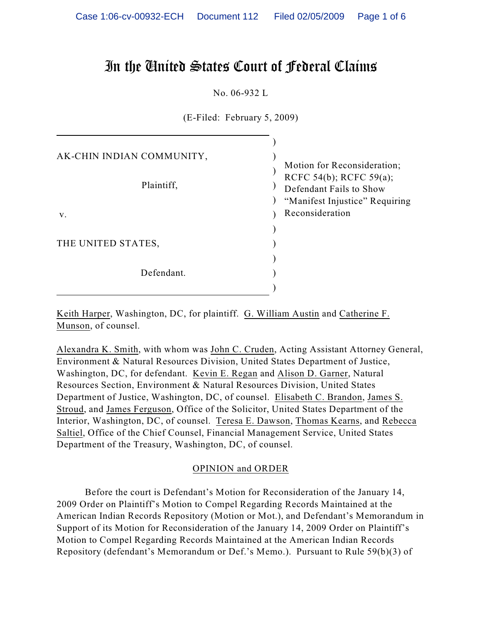# In the United States Court of Federal Claims

No. 06-932 L

(E-Filed: February 5, 2009)

| AK-CHIN INDIAN COMMUNITY, | Motion for Reconsideration;                                                          |
|---------------------------|--------------------------------------------------------------------------------------|
| Plaintiff,                | RCFC 54(b); RCFC 59(a);<br>Defendant Fails to Show<br>"Manifest Injustice" Requiring |
| V.                        | Reconsideration                                                                      |
|                           |                                                                                      |
| THE UNITED STATES,        |                                                                                      |
|                           |                                                                                      |
| Defendant.                |                                                                                      |
|                           |                                                                                      |

Keith Harper, Washington, DC, for plaintiff. G. William Austin and Catherine F. Munson, of counsel.

Alexandra K. Smith, with whom was John C. Cruden, Acting Assistant Attorney General, Environment & Natural Resources Division, United States Department of Justice, Washington, DC, for defendant. Kevin E. Regan and Alison D. Garner, Natural Resources Section, Environment & Natural Resources Division, United States Department of Justice, Washington, DC, of counsel. Elisabeth C. Brandon, James S. Stroud, and James Ferguson, Office of the Solicitor, United States Department of the Interior, Washington, DC, of counsel. Teresa E. Dawson, Thomas Kearns, and Rebecca Saltiel, Office of the Chief Counsel, Financial Management Service, United States Department of the Treasury, Washington, DC, of counsel.

## OPINION and ORDER

Before the court is Defendant's Motion for Reconsideration of the January 14, 2009 Order on Plaintiff's Motion to Compel Regarding Records Maintained at the American Indian Records Repository (Motion or Mot.), and Defendant's Memorandum in Support of its Motion for Reconsideration of the January 14, 2009 Order on Plaintiff's Motion to Compel Regarding Records Maintained at the American Indian Records Repository (defendant's Memorandum or Def.'s Memo.). Pursuant to Rule 59(b)(3) of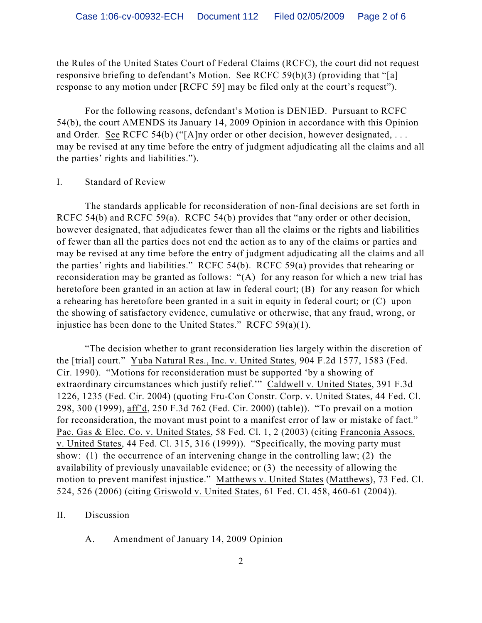the Rules of the United States Court of Federal Claims (RCFC), the court did not request responsive briefing to defendant's Motion. See RCFC 59(b)(3) (providing that "[a] response to any motion under [RCFC 59] may be filed only at the court's request").

For the following reasons, defendant's Motion is DENIED. Pursuant to RCFC 54(b), the court AMENDS its January 14, 2009 Opinion in accordance with this Opinion and Order. See RCFC 54(b) ("[A]ny order or other decision, however designated, . . . may be revised at any time before the entry of judgment adjudicating all the claims and all the parties' rights and liabilities.").

### I. Standard of Review

The standards applicable for reconsideration of non-final decisions are set forth in RCFC 54(b) and RCFC 59(a). RCFC 54(b) provides that "any order or other decision, however designated, that adjudicates fewer than all the claims or the rights and liabilities of fewer than all the parties does not end the action as to any of the claims or parties and may be revised at any time before the entry of judgment adjudicating all the claims and all the parties' rights and liabilities." RCFC 54(b). RCFC 59(a) provides that rehearing or reconsideration may be granted as follows: "(A) for any reason for which a new trial has heretofore been granted in an action at law in federal court; (B) for any reason for which a rehearing has heretofore been granted in a suit in equity in federal court; or (C) upon the showing of satisfactory evidence, cumulative or otherwise, that any fraud, wrong, or injustice has been done to the United States." RCFC 59(a)(1).

"The decision whether to grant reconsideration lies largely within the discretion of the [trial] court." Yuba Natural Res., Inc. v. United States, 904 F.2d 1577, 1583 (Fed. Cir. 1990). "Motions for reconsideration must be supported 'by a showing of extraordinary circumstances which justify relief.'" Caldwell v. United States, 391 F.3d 1226, 1235 (Fed. Cir. 2004) (quoting Fru-Con Constr. Corp. v. United States, 44 Fed. Cl. 298, 300 (1999), aff'd, 250 F.3d 762 (Fed. Cir. 2000) (table)). "To prevail on a motion for reconsideration, the movant must point to a manifest error of law or mistake of fact." Pac. Gas & Elec. Co. v. United States, 58 Fed. Cl. 1, 2 (2003) (citing Franconia Assocs. v. United States, 44 Fed. Cl. 315, 316 (1999)). "Specifically, the moving party must show: (1) the occurrence of an intervening change in the controlling law; (2) the availability of previously unavailable evidence; or (3) the necessity of allowing the motion to prevent manifest injustice." Matthews v. United States (Matthews), 73 Fed. Cl. 524, 526 (2006) (citing Griswold v. United States, 61 Fed. Cl. 458, 460-61 (2004)).

### II. Discussion

A. Amendment of January 14, 2009 Opinion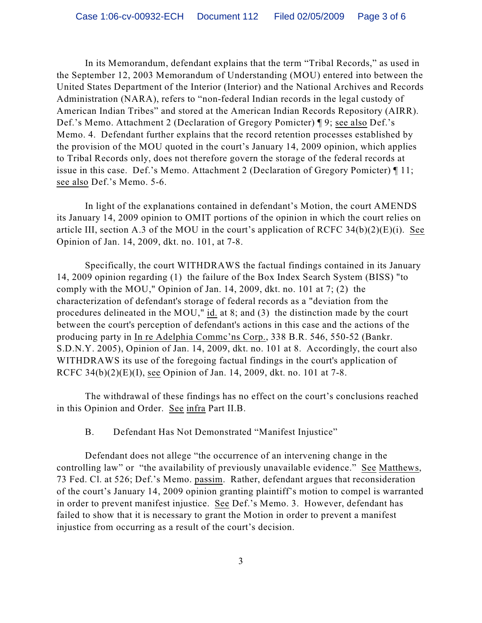In its Memorandum, defendant explains that the term "Tribal Records," as used in the September 12, 2003 Memorandum of Understanding (MOU) entered into between the United States Department of the Interior (Interior) and the National Archives and Records Administration (NARA), refers to "non-federal Indian records in the legal custody of American Indian Tribes" and stored at the American Indian Records Repository (AIRR). Def.'s Memo. Attachment 2 (Declaration of Gregory Pomicter) ¶ 9; see also Def.'s Memo. 4. Defendant further explains that the record retention processes established by the provision of the MOU quoted in the court's January 14, 2009 opinion, which applies to Tribal Records only, does not therefore govern the storage of the federal records at issue in this case. Def.'s Memo. Attachment 2 (Declaration of Gregory Pomicter) ¶ 11; see also Def.'s Memo. 5-6.

In light of the explanations contained in defendant's Motion, the court AMENDS its January 14, 2009 opinion to OMIT portions of the opinion in which the court relies on article III, section A.3 of the MOU in the court's application of RCFC  $34(b)(2)(E)(i)$ . See Opinion of Jan. 14, 2009, dkt. no. 101, at 7-8.

Specifically, the court WITHDRAWS the factual findings contained in its January 14, 2009 opinion regarding (1) the failure of the Box Index Search System (BISS) "to comply with the MOU," Opinion of Jan. 14, 2009, dkt. no. 101 at 7; (2) the characterization of defendant's storage of federal records as a "deviation from the procedures delineated in the MOU," id. at 8; and (3) the distinction made by the court between the court's perception of defendant's actions in this case and the actions of the producing party in In re Adelphia Commc'ns Corp., 338 B.R. 546, 550-52 (Bankr. S.D.N.Y. 2005), Opinion of Jan. 14, 2009, dkt. no. 101 at 8. Accordingly, the court also WITHDRAWS its use of the foregoing factual findings in the court's application of RCFC 34(b)(2)(E)(I), see Opinion of Jan. 14, 2009, dkt. no. 101 at 7-8.

The withdrawal of these findings has no effect on the court's conclusions reached in this Opinion and Order. See infra Part II.B.

B. Defendant Has Not Demonstrated "Manifest Injustice"

Defendant does not allege "the occurrence of an intervening change in the controlling law" or "the availability of previously unavailable evidence." See Matthews, 73 Fed. Cl. at 526; Def.'s Memo. passim. Rather, defendant argues that reconsideration of the court's January 14, 2009 opinion granting plaintiff's motion to compel is warranted in order to prevent manifest injustice. See Def.'s Memo. 3. However, defendant has failed to show that it is necessary to grant the Motion in order to prevent a manifest injustice from occurring as a result of the court's decision.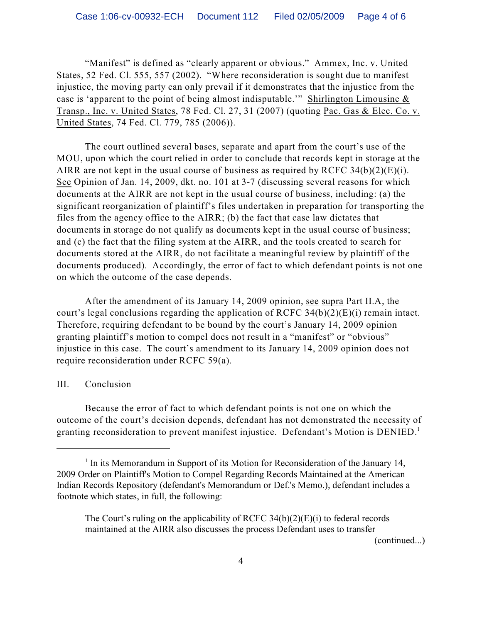"Manifest" is defined as "clearly apparent or obvious." Ammex, Inc. v. United States, 52 Fed. Cl. 555, 557 (2002). "Where reconsideration is sought due to manifest injustice, the moving party can only prevail if it demonstrates that the injustice from the case is 'apparent to the point of being almost indisputable.'" Shirlington Limousine  $\&$ Transp., Inc. v. United States, 78 Fed. Cl. 27, 31 (2007) (quoting Pac. Gas & Elec. Co. v. United States, 74 Fed. Cl. 779, 785 (2006)).

The court outlined several bases, separate and apart from the court's use of the MOU, upon which the court relied in order to conclude that records kept in storage at the AIRR are not kept in the usual course of business as required by RCFC  $34(b)(2)(E)(i)$ . See Opinion of Jan. 14, 2009, dkt. no. 101 at 3-7 (discussing several reasons for which documents at the AIRR are not kept in the usual course of business, including: (a) the significant reorganization of plaintiff's files undertaken in preparation for transporting the files from the agency office to the AIRR; (b) the fact that case law dictates that documents in storage do not qualify as documents kept in the usual course of business; and (c) the fact that the filing system at the AIRR, and the tools created to search for documents stored at the AIRR, do not facilitate a meaningful review by plaintiff of the documents produced). Accordingly, the error of fact to which defendant points is not one on which the outcome of the case depends.

After the amendment of its January 14, 2009 opinion, see supra Part II.A, the court's legal conclusions regarding the application of RCFC 34(b)(2)(E)(i) remain intact. Therefore, requiring defendant to be bound by the court's January 14, 2009 opinion granting plaintiff's motion to compel does not result in a "manifest" or "obvious" injustice in this case. The court's amendment to its January 14, 2009 opinion does not require reconsideration under RCFC 59(a).

## III. Conclusion

Because the error of fact to which defendant points is not one on which the outcome of the court's decision depends, defendant has not demonstrated the necessity of granting reconsideration to prevent manifest injustice. Defendant's Motion is DENIED.<sup>1</sup>

(continued...)

 $<sup>1</sup>$  In its Memorandum in Support of its Motion for Reconsideration of the January 14,</sup> 2009 Order on Plaintiff's Motion to Compel Regarding Records Maintained at the American Indian Records Repository (defendant's Memorandum or Def.'s Memo.), defendant includes a footnote which states, in full, the following:

The Court's ruling on the applicability of RCFC  $34(b)(2)(E)(i)$  to federal records maintained at the AIRR also discusses the process Defendant uses to transfer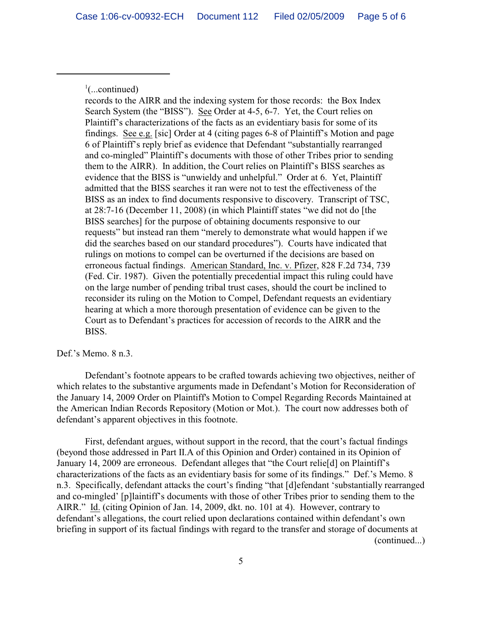$\cdot$ <sup>1</sup>(...continued)

records to the AIRR and the indexing system for those records: the Box Index Search System (the "BISS"). See Order at 4-5, 6-7. Yet, the Court relies on Plaintiff's characterizations of the facts as an evidentiary basis for some of its findings. See e.g. [sic] Order at 4 (citing pages 6-8 of Plaintiff's Motion and page 6 of Plaintiff's reply brief as evidence that Defendant "substantially rearranged and co-mingled" Plaintiff's documents with those of other Tribes prior to sending them to the AIRR). In addition, the Court relies on Plaintiff's BISS searches as evidence that the BISS is "unwieldy and unhelpful." Order at 6. Yet, Plaintiff admitted that the BISS searches it ran were not to test the effectiveness of the BISS as an index to find documents responsive to discovery. Transcript of TSC, at 28:7-16 (December 11, 2008) (in which Plaintiff states "we did not do [the BISS searches] for the purpose of obtaining documents responsive to our requests" but instead ran them "merely to demonstrate what would happen if we did the searches based on our standard procedures"). Courts have indicated that rulings on motions to compel can be overturned if the decisions are based on erroneous factual findings. American Standard, Inc. v. Pfizer, 828 F.2d 734, 739 (Fed. Cir. 1987). Given the potentially precedential impact this ruling could have on the large number of pending tribal trust cases, should the court be inclined to reconsider its ruling on the Motion to Compel, Defendant requests an evidentiary hearing at which a more thorough presentation of evidence can be given to the Court as to Defendant's practices for accession of records to the AIRR and the BISS.

Def.'s Memo. 8 n.3.

Defendant's footnote appears to be crafted towards achieving two objectives, neither of which relates to the substantive arguments made in Defendant's Motion for Reconsideration of the January 14, 2009 Order on Plaintiff's Motion to Compel Regarding Records Maintained at the American Indian Records Repository (Motion or Mot.). The court now addresses both of defendant's apparent objectives in this footnote.

First, defendant argues, without support in the record, that the court's factual findings (beyond those addressed in Part II.A of this Opinion and Order) contained in its Opinion of January 14, 2009 are erroneous. Defendant alleges that "the Court relie[d] on Plaintiff's characterizations of the facts as an evidentiary basis for some of its findings." Def.'s Memo. 8 n.3. Specifically, defendant attacks the court's finding "that [d]efendant 'substantially rearranged and co-mingled' [p]laintiff's documents with those of other Tribes prior to sending them to the AIRR." Id. (citing Opinion of Jan. 14, 2009, dkt. no. 101 at 4). However, contrary to defendant's allegations, the court relied upon declarations contained within defendant's own briefing in support of its factual findings with regard to the transfer and storage of documents at (continued...)